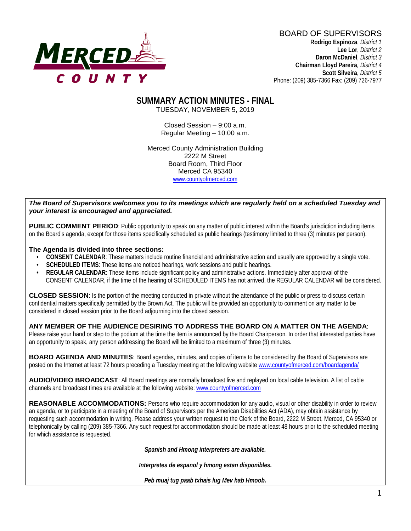

BOARD OF SUPERVISORS **Rodrigo Espinoza**, *District 1*  **Lee Lor**, *District 2*  **Daron McDaniel**, *District 3* **Chairman Lloyd Pareira***, District 4*  **Scott Silveira**, *District 5* Phone: (209) 385-7366 Fax: (209) 726-7977

#### **SUMMARY ACTION MINUTES - FINAL** TUESDAY, NOVEMBER 5, 2019

Closed Session – 9:00 a.m. Regular Meeting – 10:00 a.m.

Merced County Administration Building 2222 M Street Board Room, Third Floor Merced CA 95340 www.countyofmerced.com

#### *The Board of Supervisors welcomes you to its meetings which are regularly held on a scheduled Tuesday and your interest is encouraged and appreciated.*

**PUBLIC COMMENT PERIOD:** Public opportunity to speak on any matter of public interest within the Board's jurisdiction including items on the Board's agenda, except for those items specifically scheduled as public hearings (testimony limited to three (3) minutes per person).

#### **The Agenda is divided into three sections:**

- **CONSENT CALENDAR**: These matters include routine financial and administrative action and usually are approved by a single vote.
- **SCHEDULED ITEMS:** These items are noticed hearings, work sessions and public hearings.
- **REGULAR CALENDAR**: These items include significant policy and administrative actions. Immediately after approval of the CONSENT CALENDAR, if the time of the hearing of SCHEDULED ITEMS has not arrived, the REGULAR CALENDAR will be considered.

**CLOSED SESSION**: Is the portion of the meeting conducted in private without the attendance of the public or press to discuss certain confidential matters specifically permitted by the Brown Act. The public will be provided an opportunity to comment on any matter to be considered in closed session prior to the Board adjourning into the closed session.

#### **ANY MEMBER OF THE AUDIENCE DESIRING TO ADDRESS THE BOARD ON A MATTER ON THE AGENDA**:

Please raise your hand or step to the podium at the time the item is announced by the Board Chairperson. In order that interested parties have an opportunity to speak, any person addressing the Board will be limited to a maximum of three (3) minutes.

**BOARD AGENDA AND MINUTES:** Board agendas, minutes, and copies of items to be considered by the Board of Supervisors are posted on the Internet at least 72 hours preceding a Tuesday meeting at the following website [www.countyofmerced.com/boardagenda/](http://www.countyofmerced.com/boardagenda/) 

**AUDIO/VIDEO BROADCAST**: All Board meetings are normally broadcast live and replayed on local cable television. A list of cable channels and broadcast times are available at the following website[: www.countyofmerced.com](http://www.countyofmerced.com/)

**REASONABLE ACCOMMODATIONS:** Persons who require accommodation for any audio, visual or other disability in order to review an agenda, or to participate in a meeting of the Board of Supervisors per the American Disabilities Act (ADA), may obtain assistance by requesting such accommodation in writing. Please address your written request to the Clerk of the Board, 2222 M Street, Merced, CA 95340 or telephonically by calling (209) 385-7366. Any such request for accommodation should be made at least 48 hours prior to the scheduled meeting for which assistance is requested.

*Spanish and Hmong interpreters are available.*

*Interpretes de espanol y hmong estan disponibles.*

*Peb muaj tug paab txhais lug Mev hab Hmoob.*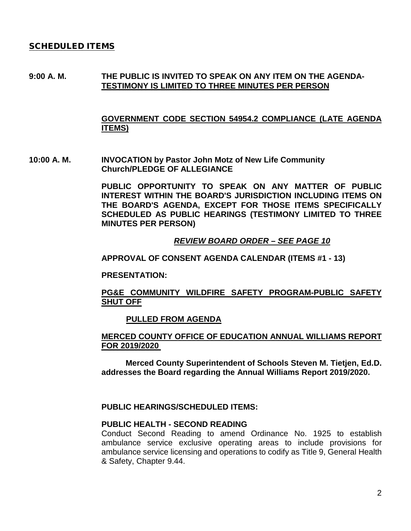#### SCHEDULED ITEMS

#### **9:00 A. M. THE PUBLIC IS INVITED TO SPEAK ON ANY ITEM ON THE AGENDA-TESTIMONY IS LIMITED TO THREE MINUTES PER PERSON**

#### **GOVERNMENT CODE SECTION 54954.2 COMPLIANCE (LATE AGENDA ITEMS)**

**10:00 A. M. INVOCATION by Pastor John Motz of New Life Community Church/PLEDGE OF ALLEGIANCE** 

> **PUBLIC OPPORTUNITY TO SPEAK ON ANY MATTER OF PUBLIC INTEREST WITHIN THE BOARD'S JURISDICTION INCLUDING ITEMS ON THE BOARD'S AGENDA, EXCEPT FOR THOSE ITEMS SPECIFICALLY SCHEDULED AS PUBLIC HEARINGS (TESTIMONY LIMITED TO THREE MINUTES PER PERSON)**

> > *REVIEW BOARD ORDER – SEE PAGE 10*

**APPROVAL OF CONSENT AGENDA CALENDAR (ITEMS #1 - 13)**

**PRESENTATION:**

#### **PG&E COMMUNITY WILDFIRE SAFETY PROGRAM-PUBLIC SAFETY SHUT OFF**

#### **PULLED FROM AGENDA**

#### **MERCED COUNTY OFFICE OF EDUCATION ANNUAL WILLIAMS REPORT FOR 2019/2020**

**Merced County Superintendent of Schools Steven M. Tietjen, Ed.D. addresses the Board regarding the Annual Williams Report 2019/2020.**

#### **PUBLIC HEARINGS/SCHEDULED ITEMS:**

#### **PUBLIC HEALTH - SECOND READING**

Conduct Second Reading to amend Ordinance No. 1925 to establish ambulance service exclusive operating areas to include provisions for ambulance service licensing and operations to codify as Title 9, General Health & Safety, Chapter 9.44.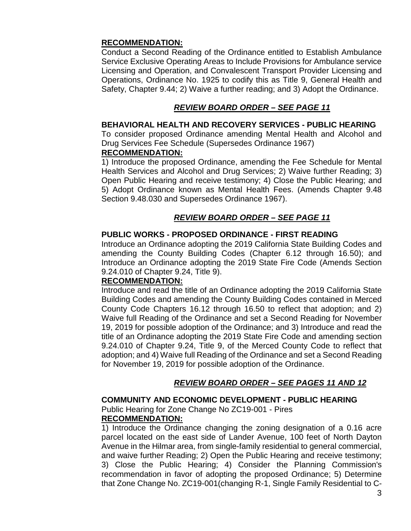#### **RECOMMENDATION:**

Conduct a Second Reading of the Ordinance entitled to Establish Ambulance Service Exclusive Operating Areas to Include Provisions for Ambulance service Licensing and Operation, and Convalescent Transport Provider Licensing and Operations, Ordinance No. 1925 to codify this as Title 9, General Health and Safety, Chapter 9.44; 2) Waive a further reading; and 3) Adopt the Ordinance.

## *REVIEW BOARD ORDER – SEE PAGE 11*

#### **BEHAVIORAL HEALTH AND RECOVERY SERVICES - PUBLIC HEARING**

To consider proposed Ordinance amending Mental Health and Alcohol and Drug Services Fee Schedule (Supersedes Ordinance 1967)

#### **RECOMMENDATION:**

1) Introduce the proposed Ordinance, amending the Fee Schedule for Mental Health Services and Alcohol and Drug Services; 2) Waive further Reading; 3) Open Public Hearing and receive testimony; 4) Close the Public Hearing; and 5) Adopt Ordinance known as Mental Health Fees. (Amends Chapter 9.48 Section 9.48.030 and Supersedes Ordinance 1967).

## *REVIEW BOARD ORDER – SEE PAGE 11*

## **PUBLIC WORKS - PROPOSED ORDINANCE - FIRST READING**

Introduce an Ordinance adopting the 2019 California State Building Codes and amending the County Building Codes (Chapter 6.12 through 16.50); and Introduce an Ordinance adopting the 2019 State Fire Code (Amends Section 9.24.010 of Chapter 9.24, Title 9).

#### **RECOMMENDATION:**

Introduce and read the title of an Ordinance adopting the 2019 California State Building Codes and amending the County Building Codes contained in Merced County Code Chapters 16.12 through 16.50 to reflect that adoption; and 2) Waive full Reading of the Ordinance and set a Second Reading for November 19, 2019 for possible adoption of the Ordinance; and 3) Introduce and read the title of an Ordinance adopting the 2019 State Fire Code and amending section 9.24.010 of Chapter 9.24, Title 9, of the Merced County Code to reflect that adoption; and 4) Waive full Reading of the Ordinance and set a Second Reading for November 19, 2019 for possible adoption of the Ordinance.

## *REVIEW BOARD ORDER – SEE PAGES 11 AND 12*

## **COMMUNITY AND ECONOMIC DEVELOPMENT - PUBLIC HEARING**

Public Hearing for Zone Change No ZC19-001 - Pires

## **RECOMMENDATION:**

1) Introduce the Ordinance changing the zoning designation of a 0.16 acre parcel located on the east side of Lander Avenue, 100 feet of North Dayton Avenue in the Hilmar area, from single-family residential to general commercial, and waive further Reading; 2) Open the Public Hearing and receive testimony; 3) Close the Public Hearing; 4) Consider the Planning Commission's recommendation in favor of adopting the proposed Ordinance; 5) Determine that Zone Change No. ZC19-001(changing R-1, Single Family Residential to C-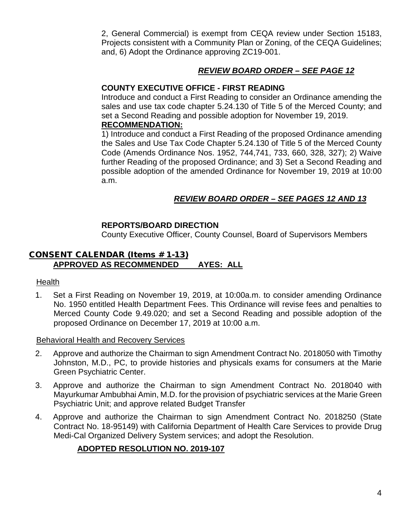2, General Commercial) is exempt from CEQA review under Section 15183, Projects consistent with a Community Plan or Zoning, of the CEQA Guidelines; and, 6) Adopt the Ordinance approving ZC19-001.

## *REVIEW BOARD ORDER – SEE PAGE 12*

## **COUNTY EXECUTIVE OFFICE - FIRST READING**

Introduce and conduct a First Reading to consider an Ordinance amending the sales and use tax code chapter 5.24.130 of Title 5 of the Merced County; and set a Second Reading and possible adoption for November 19, 2019.

#### **RECOMMENDATION:**

1) Introduce and conduct a First Reading of the proposed Ordinance amending the Sales and Use Tax Code Chapter 5.24.130 of Title 5 of the Merced County Code (Amends Ordinance Nos. 1952, 744,741, 733, 660, 328, 327); 2) Waive further Reading of the proposed Ordinance; and 3) Set a Second Reading and possible adoption of the amended Ordinance for November 19, 2019 at 10:00 a.m.

## *REVIEW BOARD ORDER – SEE PAGES 12 AND 13*

## **REPORTS/BOARD DIRECTION**

County Executive Officer, County Counsel, Board of Supervisors Members

## CONSENT CALENDAR (Items # 1-13) **APPROVED AS RECOMMENDED AYES: ALL**

#### Health

1. Set a First Reading on November 19, 2019, at 10:00a.m. to consider amending Ordinance No. 1950 entitled Health Department Fees. This Ordinance will revise fees and penalties to Merced County Code 9.49.020; and set a Second Reading and possible adoption of the proposed Ordinance on December 17, 2019 at 10:00 a.m.

#### Behavioral Health and Recovery Services

- 2. Approve and authorize the Chairman to sign Amendment Contract No. 2018050 with Timothy Johnston, M.D., PC, to provide histories and physicals exams for consumers at the Marie Green Psychiatric Center.
- 3. Approve and authorize the Chairman to sign Amendment Contract No. 2018040 with Mayurkumar Ambubhai Amin, M.D. for the provision of psychiatric services at the Marie Green Psychiatric Unit; and approve related Budget Transfer
- 4. Approve and authorize the Chairman to sign Amendment Contract No. 2018250 (State Contract No. 18-95149) with California Department of Health Care Services to provide Drug Medi-Cal Organized Delivery System services; and adopt the Resolution.

## **ADOPTED RESOLUTION NO. 2019-107**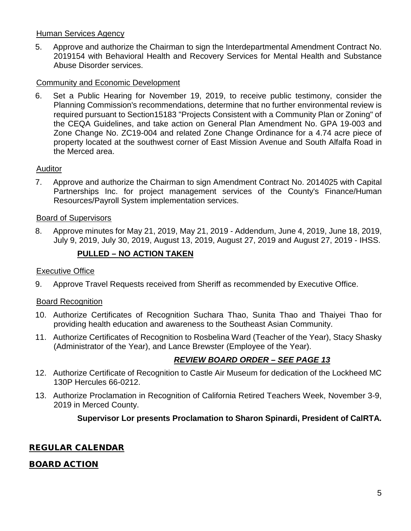## Human Services Agency

5. Approve and authorize the Chairman to sign the Interdepartmental Amendment Contract No. 2019154 with Behavioral Health and Recovery Services for Mental Health and Substance Abuse Disorder services.

## Community and Economic Development

6. Set a Public Hearing for November 19, 2019, to receive public testimony, consider the Planning Commission's recommendations, determine that no further environmental review is required pursuant to Section15183 "Projects Consistent with a Community Plan or Zoning" of the CEQA Guidelines, and take action on General Plan Amendment No. GPA 19-003 and Zone Change No. ZC19-004 and related Zone Change Ordinance for a 4.74 acre piece of property located at the southwest corner of East Mission Avenue and South Alfalfa Road in the Merced area.

## Auditor

7. Approve and authorize the Chairman to sign Amendment Contract No. 2014025 with Capital Partnerships Inc. for project management services of the County's Finance/Human Resources/Payroll System implementation services.

#### Board of Supervisors

8. Approve minutes for May 21, 2019, May 21, 2019 - Addendum, June 4, 2019, June 18, 2019, July 9, 2019, July 30, 2019, August 13, 2019, August 27, 2019 and August 27, 2019 - IHSS.

## **PULLED – NO ACTION TAKEN**

#### Executive Office

9. Approve Travel Requests received from Sheriff as recommended by Executive Office.

#### Board Recognition

- 10. Authorize Certificates of Recognition Suchara Thao, Sunita Thao and Thaiyei Thao for providing health education and awareness to the Southeast Asian Community.
- 11. Authorize Certificates of Recognition to Rosbelina Ward (Teacher of the Year), Stacy Shasky (Administrator of the Year), and Lance Brewster (Employee of the Year).

## *REVIEW BOARD ORDER – SEE PAGE 13*

- 12. Authorize Certificate of Recognition to Castle Air Museum for dedication of the Lockheed MC 130P Hercules 66-0212.
- 13. Authorize Proclamation in Recognition of California Retired Teachers Week, November 3-9, 2019 in Merced County.

## **Supervisor Lor presents Proclamation to Sharon Spinardi, President of CalRTA.**

## REGULAR CALENDAR

## BOARD ACTION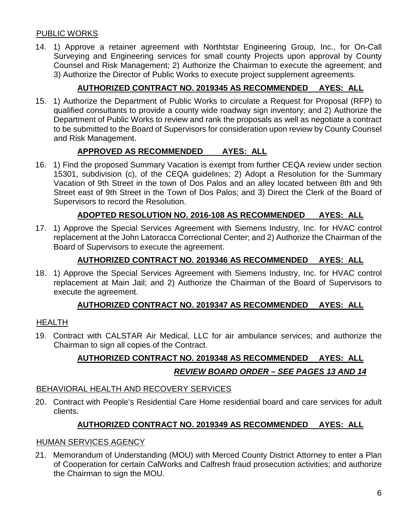## PUBLIC WORKS

14. 1) Approve a retainer agreement with Northtstar Engineering Group, Inc., for On-Call Surveying and Engineering services for small county Projects upon approval by County Counsel and Risk Management; 2) Authorize the Chairman to execute the agreement; and 3) Authorize the Director of Public Works to execute project supplement agreements.

## **AUTHORIZED CONTRACT NO. 2019345 AS RECOMMENDED AYES: ALL**

15. 1) Authorize the Department of Public Works to circulate a Request for Proposal (RFP) to qualified consultants to provide a county wide roadway sign inventory; and 2) Authorize the Department of Public Works to review and rank the proposals as well as negotiate a contract to be submitted to the Board of Supervisors for consideration upon review by County Counsel and Risk Management.

## **APPROVED AS RECOMMENDED AYES: ALL**

16. 1) Find the proposed Summary Vacation is exempt from further CEQA review under section 15301, subdivision (c), of the CEQA guidelines; 2) Adopt a Resolution for the Summary Vacation of 9th Street in the town of Dos Palos and an alley located between 8th and 9th Street east of 9th Street in the Town of Dos Palos; and 3) Direct the Clerk of the Board of Supervisors to record the Resolution.

## **ADOPTED RESOLUTION NO. 2016-108 AS RECOMMENDED AYES: ALL**

17. 1) Approve the Special Services Agreement with Siemens Industry, Inc. for HVAC control replacement at the John Latoracca Correctional Center; and 2) Authorize the Chairman of the Board of Supervisors to execute the agreement.

## **AUTHORIZED CONTRACT NO. 2019346 AS RECOMMENDED AYES: ALL**

18. 1) Approve the Special Services Agreement with Siemens Industry, Inc. for HVAC control replacement at Main Jail; and 2) Authorize the Chairman of the Board of Supervisors to execute the agreement.

## **AUTHORIZED CONTRACT NO. 2019347 AS RECOMMENDED AYES: ALL**

#### HEALTH

19. Contract with CALSTAR Air Medical, LLC for air ambulance services; and authorize the Chairman to sign all copies of the Contract.

# **AUTHORIZED CONTRACT NO. 2019348 AS RECOMMENDED AYES: ALL** *REVIEW BOARD ORDER – SEE PAGES 13 AND 14*

#### BEHAVIORAL HEALTH AND RECOVERY SERVICES

20. Contract with People's Residential Care Home residential board and care services for adult clients.

## **AUTHORIZED CONTRACT NO. 2019349 AS RECOMMENDED AYES: ALL**

#### HUMAN SERVICES AGENCY

21. Memorandum of Understanding (MOU) with Merced County District Attorney to enter a Plan of Cooperation for certain CalWorks and Calfresh fraud prosecution activities; and authorize the Chairman to sign the MOU.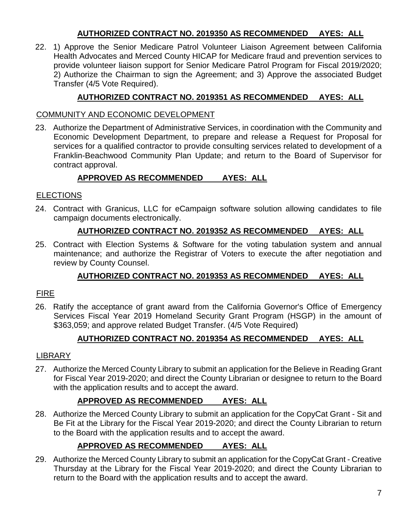## **AUTHORIZED CONTRACT NO. 2019350 AS RECOMMENDED AYES: ALL**

22. 1) Approve the Senior Medicare Patrol Volunteer Liaison Agreement between California Health Advocates and Merced County HICAP for Medicare fraud and prevention services to provide volunteer liaison support for Senior Medicare Patrol Program for Fiscal 2019/2020; 2) Authorize the Chairman to sign the Agreement; and 3) Approve the associated Budget Transfer (4/5 Vote Required).

## **AUTHORIZED CONTRACT NO. 2019351 AS RECOMMENDED AYES: ALL**

## COMMUNITY AND ECONOMIC DEVELOPMENT

23. Authorize the Department of Administrative Services, in coordination with the Community and Economic Development Department, to prepare and release a Request for Proposal for services for a qualified contractor to provide consulting services related to development of a Franklin-Beachwood Community Plan Update; and return to the Board of Supervisor for contract approval.

## **APPROVED AS RECOMMENDED AYES: ALL**

## ELECTIONS

24. Contract with Granicus, LLC for eCampaign software solution allowing candidates to file campaign documents electronically.

## **AUTHORIZED CONTRACT NO. 2019352 AS RECOMMENDED AYES: ALL**

25. Contract with Election Systems & Software for the voting tabulation system and annual maintenance; and authorize the Registrar of Voters to execute the after negotiation and review by County Counsel.

## **AUTHORIZED CONTRACT NO. 2019353 AS RECOMMENDED AYES: ALL**

## FIRE

26. Ratify the acceptance of grant award from the California Governor's Office of Emergency Services Fiscal Year 2019 Homeland Security Grant Program (HSGP) in the amount of \$363,059; and approve related Budget Transfer. (4/5 Vote Required)

## **AUTHORIZED CONTRACT NO. 2019354 AS RECOMMENDED AYES: ALL**

## LIBRARY

27. Authorize the Merced County Library to submit an application for the Believe in Reading Grant for Fiscal Year 2019-2020; and direct the County Librarian or designee to return to the Board with the application results and to accept the award.

# **APPROVED AS RECOMMENDED AYES: ALL**

28. Authorize the Merced County Library to submit an application for the CopyCat Grant - Sit and Be Fit at the Library for the Fiscal Year 2019-2020; and direct the County Librarian to return to the Board with the application results and to accept the award.

# **APPROVED AS RECOMMENDED AYES: ALL**

29. Authorize the Merced County Library to submit an application for the CopyCat Grant - Creative Thursday at the Library for the Fiscal Year 2019-2020; and direct the County Librarian to return to the Board with the application results and to accept the award.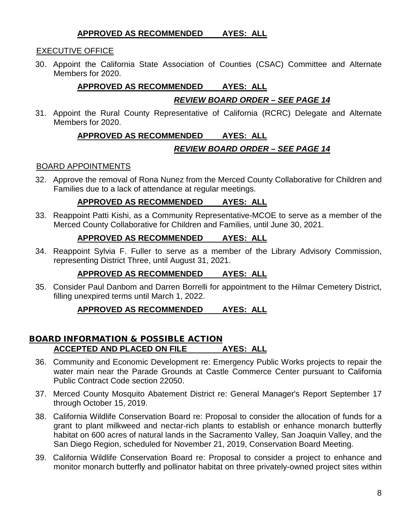#### **APPROVED AS RECOMMENDED AYES: ALL**

## EXECUTIVE OFFICE

30. Appoint the California State Association of Counties (CSAC) Committee and Alternate Members for 2020.

## **APPROVED AS RECOMMENDED AYES: ALL**

## *REVIEW BOARD ORDER – SEE PAGE 14*

31. Appoint the Rural County Representative of California (RCRC) Delegate and Alternate Members for 2020.

## **APPROVED AS RECOMMENDED AYES: ALL**

## *REVIEW BOARD ORDER – SEE PAGE 14*

#### BOARD APPOINTMENTS

32. Approve the removal of Rona Nunez from the Merced County Collaborative for Children and Families due to a lack of attendance at regular meetings.

## **APPROVED AS RECOMMENDED AYES: ALL**

33. Reappoint Patti Kishi, as a Community Representative-MCOE to serve as a member of the Merced County Collaborative for Children and Families, until June 30, 2021.

#### **APPROVED AS RECOMMENDED AYES: ALL**

34. Reappoint Sylvia F. Fuller to serve as a member of the Library Advisory Commission, representing District Three, until August 31, 2021.

#### **APPROVED AS RECOMMENDED AYES: ALL**

35. Consider Paul Danbom and Darren Borrelli for appointment to the Hilmar Cemetery District, filling unexpired terms until March 1, 2022.

#### **APPROVED AS RECOMMENDED AYES: ALL**

#### BOARD INFORMATION & POSSIBLE ACTION **ACCEPTED AND PLACED ON FILE AYES: ALL**

- 36. Community and Economic Development re: Emergency Public Works projects to repair the water main near the Parade Grounds at Castle Commerce Center pursuant to California Public Contract Code section 22050.
- 37. Merced County Mosquito Abatement District re: General Manager's Report September 17 through October 15, 2019.
- 38. California Wildlife Conservation Board re: Proposal to consider the allocation of funds for a grant to plant milkweed and nectar-rich plants to establish or enhance monarch butterfly habitat on 600 acres of natural lands in the Sacramento Valley, San Joaquin Valley, and the San Diego Region, scheduled for November 21, 2019, Conservation Board Meeting.
- 39. California Wildlife Conservation Board re: Proposal to consider a project to enhance and monitor monarch butterfly and pollinator habitat on three privately-owned project sites within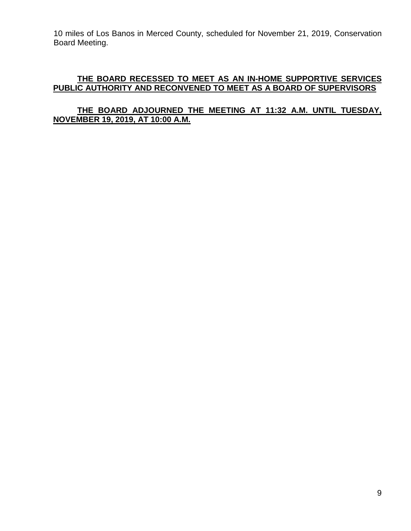10 miles of Los Banos in Merced County, scheduled for November 21, 2019, Conservation Board Meeting.

#### **THE BOARD RECESSED TO MEET AS AN IN-HOME SUPPORTIVE SERVICES PUBLIC AUTHORITY AND RECONVENED TO MEET AS A BOARD OF SUPERVISORS**

## **THE BOARD ADJOURNED THE MEETING AT 11:32 A.M. UNTIL TUESDAY, NOVEMBER 19, 2019, AT 10:00 A.M.**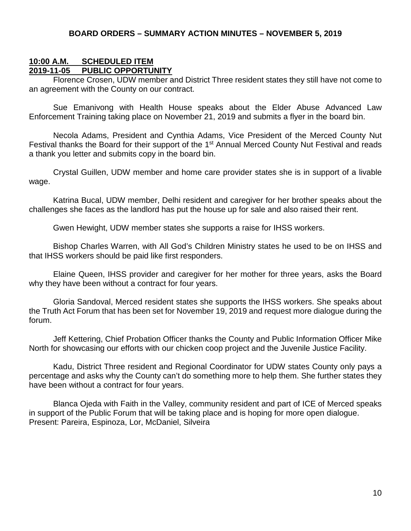#### **BOARD ORDERS – SUMMARY ACTION MINUTES – NOVEMBER 5, 2019**

#### **10:00 A.M. SCHEDULED ITEM 2019-11-05 PUBLIC OPPORTUNITY**

Florence Crosen, UDW member and District Three resident states they still have not come to an agreement with the County on our contract.

Sue Emanivong with Health House speaks about the Elder Abuse Advanced Law Enforcement Training taking place on November 21, 2019 and submits a flyer in the board bin.

Necola Adams, President and Cynthia Adams, Vice President of the Merced County Nut Festival thanks the Board for their support of the 1<sup>st</sup> Annual Merced County Nut Festival and reads a thank you letter and submits copy in the board bin.

Crystal Guillen, UDW member and home care provider states she is in support of a livable wage.

Katrina Bucal, UDW member, Delhi resident and caregiver for her brother speaks about the challenges she faces as the landlord has put the house up for sale and also raised their rent.

Gwen Hewight, UDW member states she supports a raise for IHSS workers.

Bishop Charles Warren, with All God's Children Ministry states he used to be on IHSS and that IHSS workers should be paid like first responders.

Elaine Queen, IHSS provider and caregiver for her mother for three years, asks the Board why they have been without a contract for four years.

Gloria Sandoval, Merced resident states she supports the IHSS workers. She speaks about the Truth Act Forum that has been set for November 19, 2019 and request more dialogue during the forum.

Jeff Kettering, Chief Probation Officer thanks the County and Public Information Officer Mike North for showcasing our efforts with our chicken coop project and the Juvenile Justice Facility.

Kadu, District Three resident and Regional Coordinator for UDW states County only pays a percentage and asks why the County can't do something more to help them. She further states they have been without a contract for four years.

Blanca Ojeda with Faith in the Valley, community resident and part of ICE of Merced speaks in support of the Public Forum that will be taking place and is hoping for more open dialogue. Present: Pareira, Espinoza, Lor, McDaniel, Silveira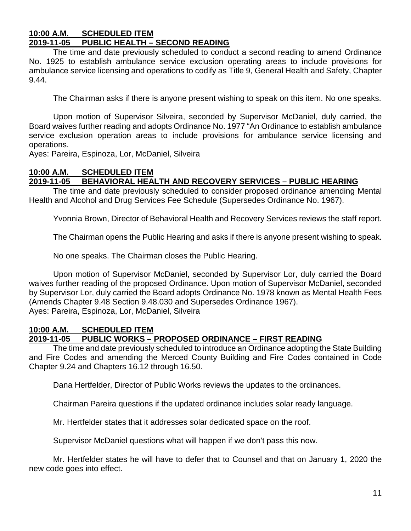# **10:00 A.M. SCHEDULED ITEM**

## **2019-11-05 PUBLIC HEALTH – SECOND READING**

The time and date previously scheduled to conduct a second reading to amend Ordinance No. 1925 to establish ambulance service exclusion operating areas to include provisions for ambulance service licensing and operations to codify as Title 9, General Health and Safety, Chapter 9.44.

The Chairman asks if there is anyone present wishing to speak on this item. No one speaks.

Upon motion of Supervisor Silveira, seconded by Supervisor McDaniel, duly carried, the Board waives further reading and adopts Ordinance No. 1977 "An Ordinance to establish ambulance service exclusion operation areas to include provisions for ambulance service licensing and operations.

Ayes: Pareira, Espinoza, Lor, McDaniel, Silveira

## **10:00 A.M. SCHEDULED ITEM**

## **2019-11-05 BEHAVIORAL HEALTH AND RECOVERY SERVICES – PUBLIC HEARING**

The time and date previously scheduled to consider proposed ordinance amending Mental Health and Alcohol and Drug Services Fee Schedule (Supersedes Ordinance No. 1967).

Yvonnia Brown, Director of Behavioral Health and Recovery Services reviews the staff report.

The Chairman opens the Public Hearing and asks if there is anyone present wishing to speak.

No one speaks. The Chairman closes the Public Hearing.

Upon motion of Supervisor McDaniel, seconded by Supervisor Lor, duly carried the Board waives further reading of the proposed Ordinance. Upon motion of Supervisor McDaniel, seconded by Supervisor Lor, duly carried the Board adopts Ordinance No. 1978 known as Mental Health Fees (Amends Chapter 9.48 Section 9.48.030 and Supersedes Ordinance 1967). Ayes: Pareira, Espinoza, Lor, McDaniel, Silveira

#### **10:00 A.M. SCHEDULED ITEM 2019-11-05 PUBLIC WORKS – PROPOSED ORDINANCE – FIRST READING**

The time and date previously scheduled to introduce an Ordinance adopting the State Building and Fire Codes and amending the Merced County Building and Fire Codes contained in Code Chapter 9.24 and Chapters 16.12 through 16.50.

Dana Hertfelder, Director of Public Works reviews the updates to the ordinances.

Chairman Pareira questions if the updated ordinance includes solar ready language.

Mr. Hertfelder states that it addresses solar dedicated space on the roof.

Supervisor McDaniel questions what will happen if we don't pass this now.

Mr. Hertfelder states he will have to defer that to Counsel and that on January 1, 2020 the new code goes into effect.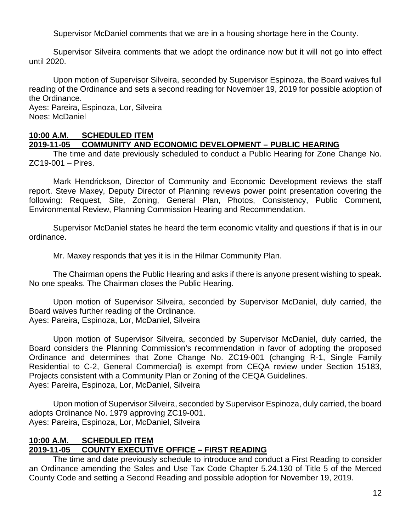Supervisor McDaniel comments that we are in a housing shortage here in the County.

Supervisor Silveira comments that we adopt the ordinance now but it will not go into effect until 2020.

Upon motion of Supervisor Silveira, seconded by Supervisor Espinoza, the Board waives full reading of the Ordinance and sets a second reading for November 19, 2019 for possible adoption of the Ordinance.

Ayes: Pareira, Espinoza, Lor, Silveira Noes: McDaniel

## **10:00 A.M. SCHEDULED ITEM**

## **2019-11-05 COMMUNITY AND ECONOMIC DEVELOPMENT – PUBLIC HEARING**

The time and date previously scheduled to conduct a Public Hearing for Zone Change No. ZC19-001 – Pires.

Mark Hendrickson, Director of Community and Economic Development reviews the staff report. Steve Maxey, Deputy Director of Planning reviews power point presentation covering the following: Request, Site, Zoning, General Plan, Photos, Consistency, Public Comment, Environmental Review, Planning Commission Hearing and Recommendation.

Supervisor McDaniel states he heard the term economic vitality and questions if that is in our ordinance.

Mr. Maxey responds that yes it is in the Hilmar Community Plan.

The Chairman opens the Public Hearing and asks if there is anyone present wishing to speak. No one speaks. The Chairman closes the Public Hearing.

Upon motion of Supervisor Silveira, seconded by Supervisor McDaniel, duly carried, the Board waives further reading of the Ordinance.

Ayes: Pareira, Espinoza, Lor, McDaniel, Silveira

Upon motion of Supervisor Silveira, seconded by Supervisor McDaniel, duly carried, the Board considers the Planning Commission's recommendation in favor of adopting the proposed Ordinance and determines that Zone Change No. ZC19-001 (changing R-1, Single Family Residential to C-2, General Commercial) is exempt from CEQA review under Section 15183, Projects consistent with a Community Plan or Zoning of the CEQA Guidelines. Ayes: Pareira, Espinoza, Lor, McDaniel, Silveira

Upon motion of Supervisor Silveira, seconded by Supervisor Espinoza, duly carried, the board adopts Ordinance No. 1979 approving ZC19-001. Ayes: Pareira, Espinoza, Lor, McDaniel, Silveira

## **10:00 A.M. SCHEDULED ITEM 2019-11-05 COUNTY EXECUTIVE OFFICE – FIRST READING**

The time and date previously schedule to introduce and conduct a First Reading to consider an Ordinance amending the Sales and Use Tax Code Chapter 5.24.130 of Title 5 of the Merced County Code and setting a Second Reading and possible adoption for November 19, 2019.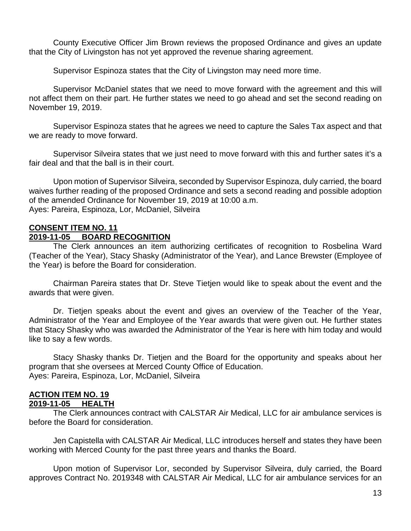County Executive Officer Jim Brown reviews the proposed Ordinance and gives an update that the City of Livingston has not yet approved the revenue sharing agreement.

Supervisor Espinoza states that the City of Livingston may need more time.

Supervisor McDaniel states that we need to move forward with the agreement and this will not affect them on their part. He further states we need to go ahead and set the second reading on November 19, 2019.

Supervisor Espinoza states that he agrees we need to capture the Sales Tax aspect and that we are ready to move forward.

Supervisor Silveira states that we just need to move forward with this and further sates it's a fair deal and that the ball is in their court.

Upon motion of Supervisor Silveira, seconded by Supervisor Espinoza, duly carried, the board waives further reading of the proposed Ordinance and sets a second reading and possible adoption of the amended Ordinance for November 19, 2019 at 10:00 a.m. Ayes: Pareira, Espinoza, Lor, McDaniel, Silveira

#### **CONSENT ITEM NO. 11 2019-11-05 BOARD RECOGNITION**

The Clerk announces an item authorizing certificates of recognition to Rosbelina Ward (Teacher of the Year), Stacy Shasky (Administrator of the Year), and Lance Brewster (Employee of the Year) is before the Board for consideration.

Chairman Pareira states that Dr. Steve Tietjen would like to speak about the event and the awards that were given.

Dr. Tietjen speaks about the event and gives an overview of the Teacher of the Year, Administrator of the Year and Employee of the Year awards that were given out. He further states that Stacy Shasky who was awarded the Administrator of the Year is here with him today and would like to say a few words.

Stacy Shasky thanks Dr. Tietjen and the Board for the opportunity and speaks about her program that she oversees at Merced County Office of Education. Ayes: Pareira, Espinoza, Lor, McDaniel, Silveira

# **ACTION ITEM NO. 19**

# **2019-11-05**

The Clerk announces contract with CALSTAR Air Medical, LLC for air ambulance services is before the Board for consideration.

Jen Capistella with CALSTAR Air Medical, LLC introduces herself and states they have been working with Merced County for the past three years and thanks the Board.

Upon motion of Supervisor Lor, seconded by Supervisor Silveira, duly carried, the Board approves Contract No. 2019348 with CALSTAR Air Medical, LLC for air ambulance services for an